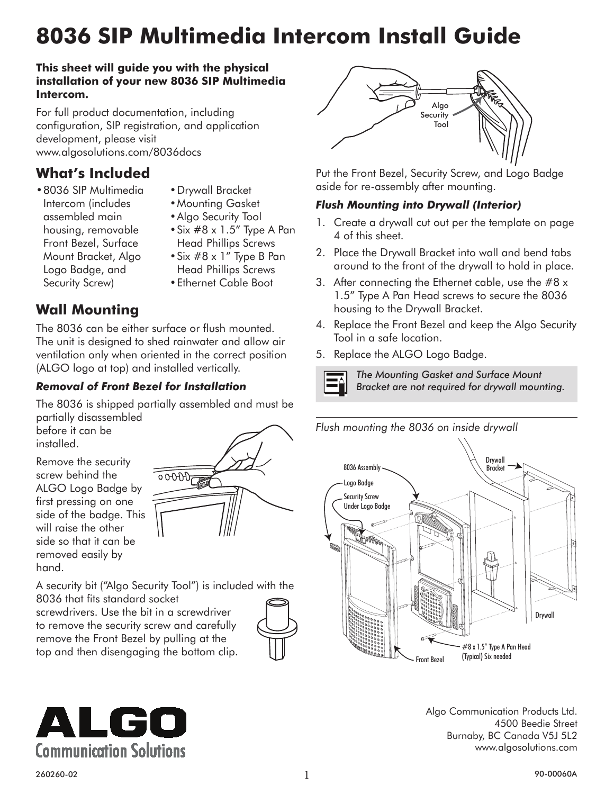# **8036 SIP Multimedia Intercom Install Guide**

#### **This sheet will guide you with the physical installation of your new 8036 SIP Multimedia Intercom.**

For full product documentation, including configuration, SIP registration, and application development, please visit [www.algosolutions.com/8036docs](http://www.algosolutions.com/8036docs)

# **What's Included**

- • Drywall Bracket
- • 8036 SIP Multimedia Intercom (includes assembled main housing, removable Front Bezel, Surface Mount Bracket, Algo Logo Badge, and Security Screw)
- • Mounting Gasket
- Algo Security Tool
- • Six #8 x 1.5" Type A Pan Head Phillips Screws
- $\bullet$  Six #8 x 1" Type B Pan Head Phillips Screws
- • Ethernet Cable Boot

# **Wall Mounting**

The 8036 can be either surface or flush mounted. The unit is designed to shed rainwater and allow air ventilation only when oriented in the correct position (ALGO logo at top) and installed vertically.

## *Removal of Front Bezel for Installation*

The 8036 is shipped partially assembled and must be partially disassembled

before it can be installed.

Remove the security screw behind the ALGO Logo Badge by first pressing on one side of the badge. This will raise the other side so that it can be removed easily by hand.



A security bit ("Algo Security Tool") is included with the 8036 that fits standard socket

screwdrivers. Use the bit in a screwdriver to remove the security screw and carefully remove the Front Bezel by pulling at the top and then disengaging the bottom clip.





Put the Front Bezel, Security Screw, and Logo Badge aside for re-assembly after mounting.

### *Flush Mounting into Drywall (Interior)*

- 1. Create a drywall cut out per the template on page 4 of this sheet.
- 2. Place the Drywall Bracket into wall and bend tabs around to the front of the drywall to hold in place.
- 3. After connecting the Ethernet cable, use the #8 x 1.5" Type A Pan Head screws to secure the 8036 housing to the Drywall Bracket.
- 4. Replace the Front Bezel and keep the Algo Security Tool in a safe location.
- 5. Replace the ALGO Logo Badge.



*The Mounting Gasket and Surface Mount Bracket are not required for drywall mounting.*





Algo Communication Products Ltd. 4500 Beedie Street Burnaby, BC Canada V5J 5L2 [www.algosolutions.com](http://www.algosolutions.com)

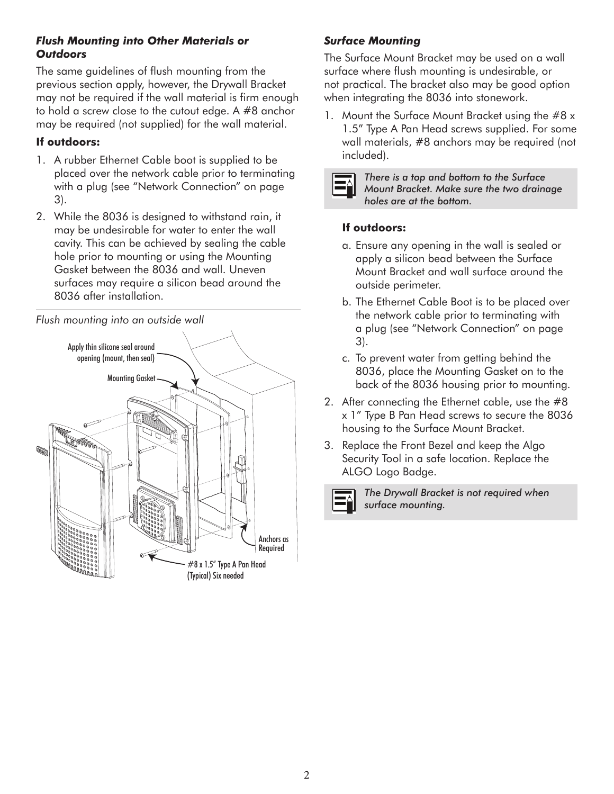#### *Flush Mounting into Other Materials or Outdoors*

The same guidelines of flush mounting from the previous section apply, however, the Drywall Bracket may not be required if the wall material is firm enough to hold a screw close to the cutout edge. A #8 anchor may be required (not supplied) for the wall material.

#### **If outdoors:**

- 1. A rubber Ethernet Cable boot is supplied to be placed over the network cable prior to terminating with a plug (see ["Network Connection" on page](#page-2-0)  [3](#page-2-0)).
- 2. While the 8036 is designed to withstand rain, it may be undesirable for water to enter the wall cavity. This can be achieved by sealing the cable hole prior to mounting or using the Mounting Gasket between the 8036 and wall. Uneven surfaces may require a silicon bead around the 8036 after installation.

*Flush mounting into an outside wall*



## *Surface Mounting*

The Surface Mount Bracket may be used on a wall surface where flush mounting is undesirable, or not practical. The bracket also may be good option when integrating the 8036 into stonework.

1. Mount the Surface Mount Bracket using the #8 x 1.5" Type A Pan Head screws supplied. For some wall materials, #8 anchors may be required (not included).



*There is a top and bottom to the Surface Mount Bracket. Make sure the two drainage holes are at the bottom.*

#### **If outdoors:**

- a. Ensure any opening in the wall is sealed or apply a silicon bead between the Surface Mount Bracket and wall surface around the outside perimeter.
- b. The Ethernet Cable Boot is to be placed over the network cable prior to terminating with a plug (see ["Network Connection" on page](#page-2-0)  [3](#page-2-0)).
- c. To prevent water from getting behind the 8036, place the Mounting Gasket on to the back of the 8036 housing prior to mounting.
- 2. After connecting the Ethernet cable, use the #8 x 1" Type B Pan Head screws to secure the 8036 housing to the Surface Mount Bracket.
- 3. Replace the Front Bezel and keep the Algo Security Tool in a safe location. Replace the ALGO Logo Badge.



*The Drywall Bracket is not required when surface mounting.*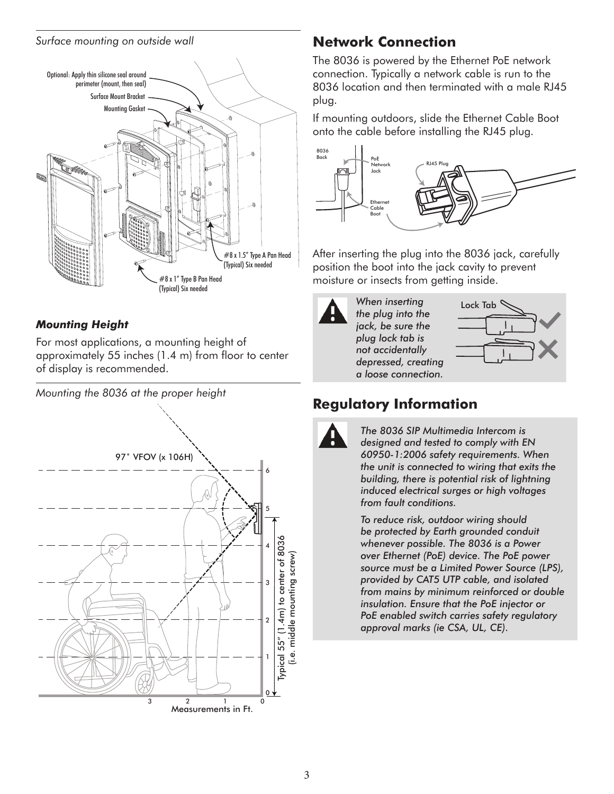#### *Surface mounting on outside wall*



#### *Mounting Height*

For most applications, a mounting height of approximately 55 inches (1.4 m) from floor to center of display is recommended.

*Mounting the 8036 at the proper height*



# <span id="page-2-0"></span>**Network Connection**

The 8036 is powered by the Ethernet PoE network connection. Typically a network cable is run to the 8036 location and then terminated with a male RJ45 plug.

If mounting outdoors, slide the Ethernet Cable Boot onto the cable before installing the RJ45 plug.



After inserting the plug into the 8036 jack, carefully position the boot into the jack cavity to prevent moisture or insects from getting inside.



*When inserting the plug into the jack, be sure the plug lock tab is not accidentally depressed, creating a loose connection.*



# **Regulatory Information**



*The 8036 SIP Multimedia Intercom is designed and tested to comply with EN 60950-1:2006 safety requirements. When the unit is connected to wiring that exits the building, there is potential risk of lightning induced electrical surges or high voltages from fault conditions.* 

*To reduce risk, outdoor wiring should be protected by Earth grounded conduit whenever possible. The 8036 is a Power over Ethernet (PoE) device. The PoE power source must be a Limited Power Source (LPS), provided by CAT5 UTP cable, and isolated from mains by minimum reinforced or double insulation. Ensure that the PoE injector or PoE enabled switch carries safety regulatory approval marks (ie CSA, UL, CE).*